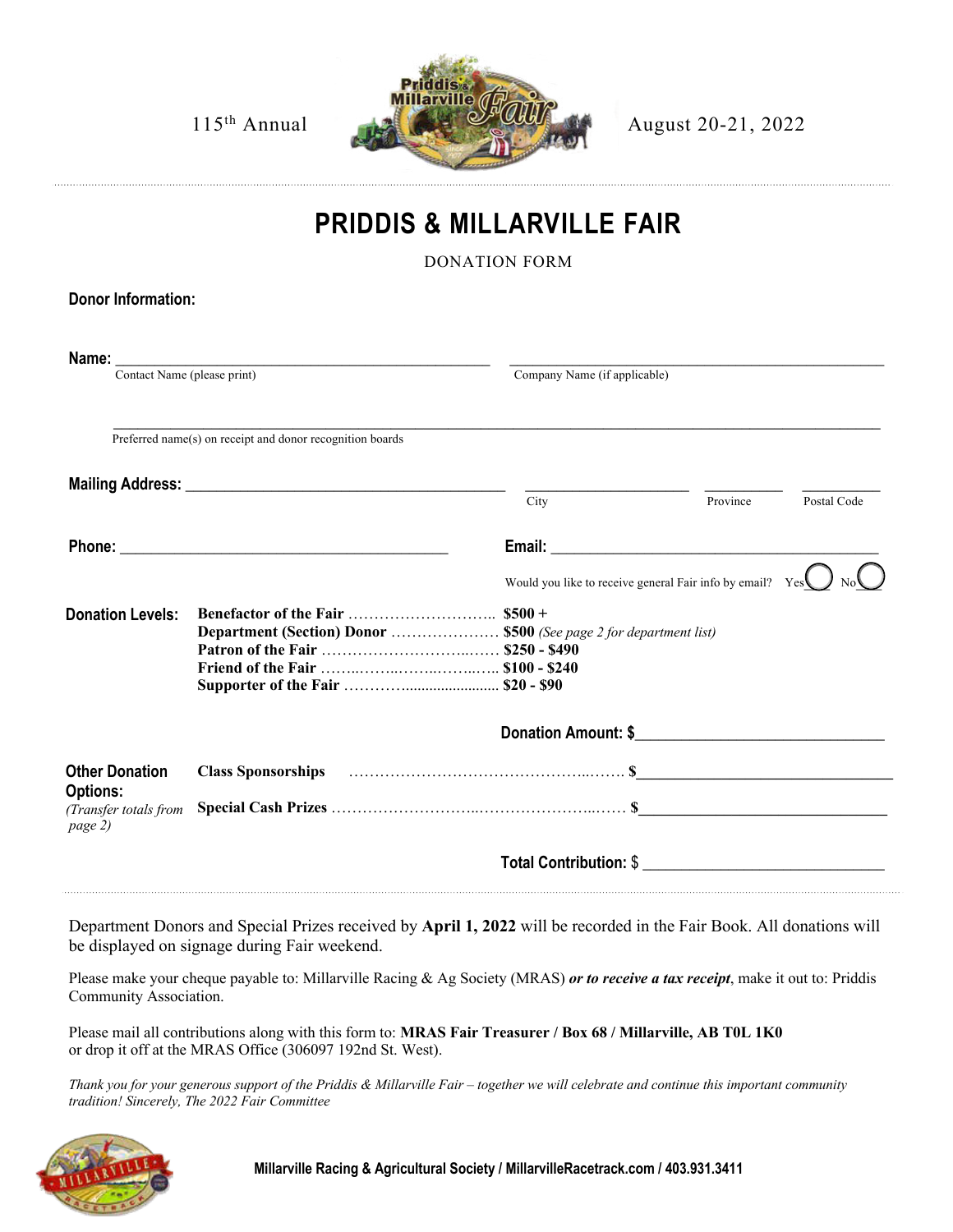

## **PRIDDIS & MILLARVILLE FAIR**

DONATION FORM

| <b>Donor Information:</b>                           |                                                                                                                                                                                                                                |                                                           |          |             |
|-----------------------------------------------------|--------------------------------------------------------------------------------------------------------------------------------------------------------------------------------------------------------------------------------|-----------------------------------------------------------|----------|-------------|
| Contact Name (please print)                         |                                                                                                                                                                                                                                | Company Name (if applicable)                              |          |             |
|                                                     |                                                                                                                                                                                                                                |                                                           |          |             |
|                                                     | Preferred name(s) on receipt and donor recognition boards                                                                                                                                                                      |                                                           |          |             |
|                                                     |                                                                                                                                                                                                                                | City                                                      | Province | Postal Code |
|                                                     |                                                                                                                                                                                                                                |                                                           |          |             |
|                                                     |                                                                                                                                                                                                                                | Would you like to receive general Fair info by email? Yes |          |             |
| <b>Donation Levels:</b>                             | Department (Section) Donor  \$500 (See page 2 for department list)                                                                                                                                                             |                                                           |          |             |
|                                                     |                                                                                                                                                                                                                                | Donation Amount: \$                                       |          |             |
| <b>Other Donation</b>                               | Class Sponsorships (and the contract of the contract of the contract of the contract of the contract of the contract of the contract of the contract of the contract of the contract of the contract of the contract of the co |                                                           |          |             |
| <b>Options:</b><br>(Transfer totals from<br>page 2) |                                                                                                                                                                                                                                |                                                           |          |             |
|                                                     |                                                                                                                                                                                                                                | Total Contribution: \$                                    |          |             |

Department Donors and Special Prizes received by **April 1, 2022** will be recorded in the Fair Book. All donations will be displayed on signage during Fair weekend.

Please make your cheque payable to: Millarville Racing & Ag Society (MRAS) *or to receive a tax receipt*, make it out to: Priddis Community Association.

Please mail all contributions along with this form to: **MRAS Fair Treasurer / Box 68 / Millarville, AB T0L 1K0** or drop it off at the MRAS Office (306097 192nd St. West).

*Thank you for your generous support of the Priddis & Millarville Fair – together we will celebrate and continue this important community tradition! Sincerely, The 2022 Fair Committee*